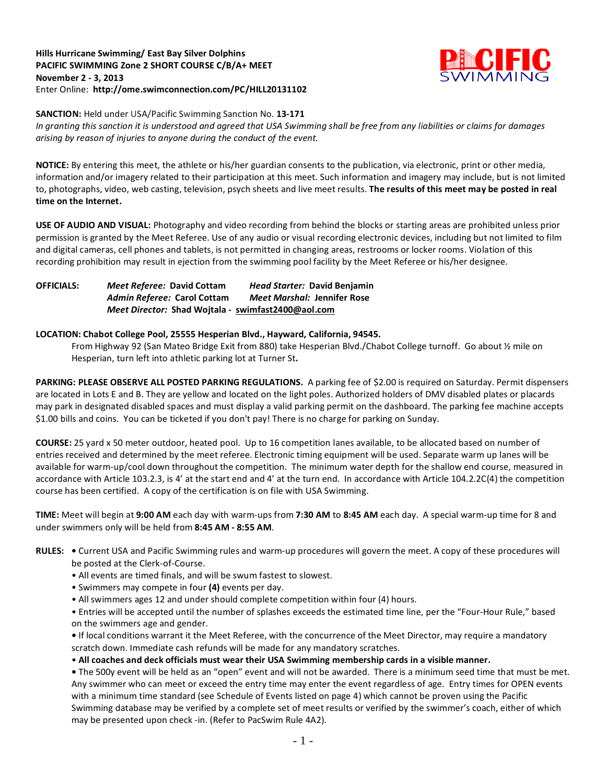#### **Hills Hurricane Swimming/ East Bay Silver Dolphins PACIFIC SWIMMING Zone 2 SHORT COURSE C/B/A+ MEET November 2 - 3, 2013** Enter Online: **<http://ome.swimconnection.com/PC/HILL20131102>**



**SANCTION:** Held under USA/Pacific Swimming Sanction No. **13-171**

*In granting this sanction it is understood and agreed that USA Swimming shall be free from any liabilities or claims for damages arising by reason of injuries to anyone during the conduct of the event.*

**NOTICE:** By entering this meet, the athlete or his/her guardian consents to the publication, via electronic, print or other media, information and/or imagery related to their participation at this meet. Such information and imagery may include, but is not limited to, photographs, video, web casting, television, psych sheets and live meet results. **The results of this meet may be posted in real time on the Internet.**

**USE OF AUDIO AND VISUAL:** Photography and video recording from behind the blocks or starting areas are prohibited unless prior permission is granted by the Meet Referee. Use of any audio or visual recording electronic devices, including but not limited to film and digital cameras, cell phones and tablets, is not permitted in changing areas, restrooms or locker rooms. Violation of this recording prohibition may result in ejection from the swimming pool facility by the Meet Referee or his/her designee.

**OFFICIALS:** *Meet Referee:* **David Cottam** *Head Starter:* **David Benjamin** *Admin Referee:* **Carol Cottam** *Meet Marshal:* **Jennifer Rose** *Meet Director:* **Shad Wojtala - [swimfast2400@aol.com](mailto:swimfast2400@aol.com)**

### **LOCATION: Chabot College Pool, 25555 Hesperian Blvd., Hayward, California, 94545.**

From Highway 92 (San Mateo Bridge Exit from 880) take Hesperian Blvd./Chabot College turnoff. Go about ½ mile on Hesperian, turn left into athletic parking lot at Turner St**.** 

**PARKING: PLEASE OBSERVE ALL POSTED PARKING REGULATIONS.** A parking fee of \$2.00 is required on Saturday. Permit dispensers are located in Lots E and B. They are yellow and located on the light poles. Authorized holders of DMV disabled plates or placards may park in designated disabled spaces and must display a valid parking permit on the dashboard. The parking fee machine accepts \$1.00 bills and coins. You can be ticketed if you don't pay! There is no charge for parking on Sunday.

**COURSE:** 25 yard x 50 meter outdoor, heated pool. Up to 16 competition lanes available, to be allocated based on number of entries received and determined by the meet referee. Electronic timing equipment will be used. Separate warm up lanes will be available for warm-up/cool down throughout the competition. The minimum water depth for the shallow end course, measured in accordance with Article 103.2.3, is 4' at the start end and 4' at the turn end. In accordance with Article 104.2.2C(4) the competition course has been certified. A copy of the certification is on file with USA Swimming.

**TIME:** Meet will begin at **9:00 AM** each day with warm-ups from **7:30 AM** to **8:45 AM** each day. A special warm-up time for 8 and under swimmers only will be held from **8:45 AM - 8:55 AM**.

- **RULES:** Current USA and Pacific Swimming rules and warm-up procedures will govern the meet. A copy of these procedures will be posted at the Clerk-of-Course.
	- All events are timed finals, and will be swum fastest to slowest.
	- Swimmers may compete in four **(4)** events per day.
	- All swimmers ages 12 and under should complete competition within four (4) hours.
	- Entries will be accepted until the number of splashes exceeds the estimated time line, per the "Four-Hour Rule," based on the swimmers age and gender.

**•** If local conditions warrant it the Meet Referee, with the concurrence of the Meet Director, may require a mandatory scratch down. Immediate cash refunds will be made for any mandatory scratches.

• **All coaches and deck officials must wear their USA Swimming membership cards in a visible manner.** 

**•** The 500y event will be held as an "open" event and will not be awarded. There is a minimum seed time that must be met. Any swimmer who can meet or exceed the entry time may enter the event regardless of age. Entry times for OPEN events with a minimum time standard (see Schedule of Events listed on page 4) which cannot be proven using the Pacific Swimming database may be verified by a complete set of meet results or verified by the swimmer's coach, either of which may be presented upon check -in. (Refer to PacSwim Rule 4A2).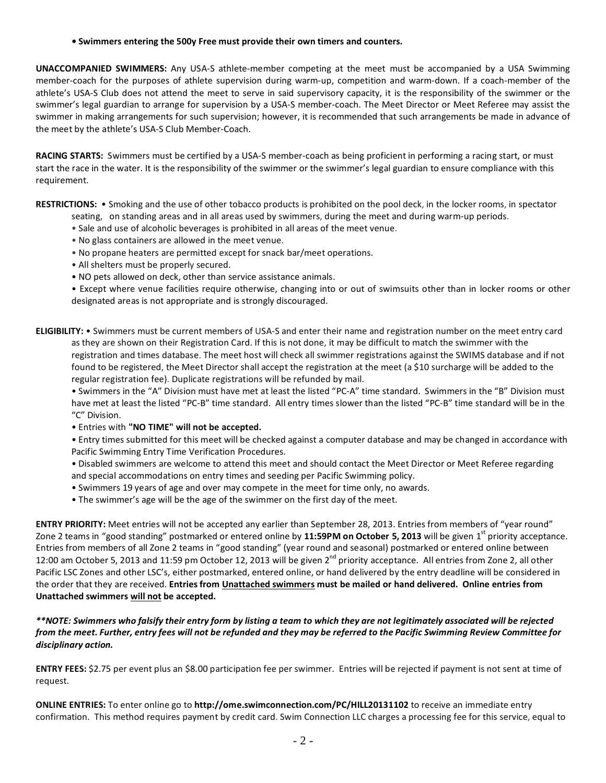**• Swimmers entering the 500y Free must provide their own timers and counters.**

**UNACCOMPANIED SWIMMERS:** Any USA-S athlete-member competing at the meet must be accompanied by a USA Swimming member-coach for the purposes of athlete supervision during warm-up, competition and warm-down. If a coach-member of the athlete's USA-S Club does not attend the meet to serve in said supervisory capacity, it is the responsibility of the swimmer or the swimmer's legal guardian to arrange for supervision by a USA-S member-coach. The Meet Director or Meet Referee may assist the swimmer in making arrangements for such supervision; however, it is recommended that such arrangements be made in advance of the meet by the athlete's USA-S Club Member-Coach.

**RACING STARTS:** Swimmers must be certified by a USA-S member-coach as being proficient in performing a racing start, or must start the race in the water. It is the responsibility of the swimmer or the swimmer's legal guardian to ensure compliance with this requirement.

**RESTRICTIONS:** • Smoking and the use of other tobacco products is prohibited on the pool deck, in the locker rooms, in spectator seating, on standing areas and in all areas used by swimmers, during the meet and during warm-up periods.

- Sale and use of alcoholic beverages is prohibited in all areas of the meet venue.
- No glass containers are allowed in the meet venue.
- No propane heaters are permitted except for snack bar/meet operations.
- All shelters must be properly secured.
- NO pets allowed on deck, other than service assistance animals.

• Except where venue facilities require otherwise, changing into or out of swimsuits other than in locker rooms or other designated areas is not appropriate and is strongly discouraged.

**ELIGIBILITY:** • Swimmers must be current members of USA-S and enter their name and registration number on the meet entry card as they are shown on their Registration Card. If this is not done, it may be difficult to match the swimmer with the registration and times database. The meet host will check all swimmer registrations against the SWIMS database and if not found to be registered, the Meet Director shall accept the registration at the meet (a \$10 surcharge will be added to the regular registration fee). Duplicate registrations will be refunded by mail.

• Swimmers in the "A" Division must have met at least the listed "PC-A" time standard. Swimmers in the "B" Division must have met at least the listed "PC-B" time standard. All entry times slower than the listed "PC-B" time standard will be in the "C" Division.

• Entries with **"NO TIME" will not be accepted.**

• Entry times submitted for this meet will be checked against a computer database and may be changed in accordance with Pacific Swimming Entry Time Verification Procedures.

- Disabled swimmers are welcome to attend this meet and should contact the Meet Director or Meet Referee regarding and special accommodations on entry times and seeding per Pacific Swimming policy.
- Swimmers 19 years of age and over may compete in the meet for time only, no awards.
- The swimmer's age will be the age of the swimmer on the first day of the meet.

**ENTRY PRIORITY:** Meet entries will not be accepted any earlier than September 28, 2013. Entries from members of "year round" Zone 2 teams in "good standing" postmarked or entered online by 11:59PM on October 5, 2013 will be given 1<sup>st</sup> priority acceptance. Entries from members of all Zone 2 teams in "good standing" (year round and seasonal) postmarked or entered online between 12:00 am October 5, 2013 and 11:59 pm October 12, 2013 will be given 2<sup>nd</sup> priority acceptance. All entries from Zone 2, all other Pacific LSC Zones and other LSC's, either postmarked, entered online, or hand delivered by the entry deadline will be considered in the order that they are received. **Entries from Unattached swimmers must be mailed or hand delivered. Online entries from Unattached swimmers will not be accepted.**

*\*\*NOTE: Swimmers who falsify their entry form by listing a team to which they are not legitimately associated will be rejected from the meet. Further, entry fees will not be refunded and they may be referred to the Pacific Swimming Review Committee for disciplinary action.*

**ENTRY FEES:** \$2.75 per event plus an \$8.00 participation fee per swimmer. Entries will be rejected if payment is not sent at time of request.

**ONLINE ENTRIES:** To enter online go to **<http://ome.swimconnection.com/PC/HILL20131102>** to receive an immediate entry confirmation. This method requires payment by credit card. Swim Connection LLC charges a processing fee for this service, equal to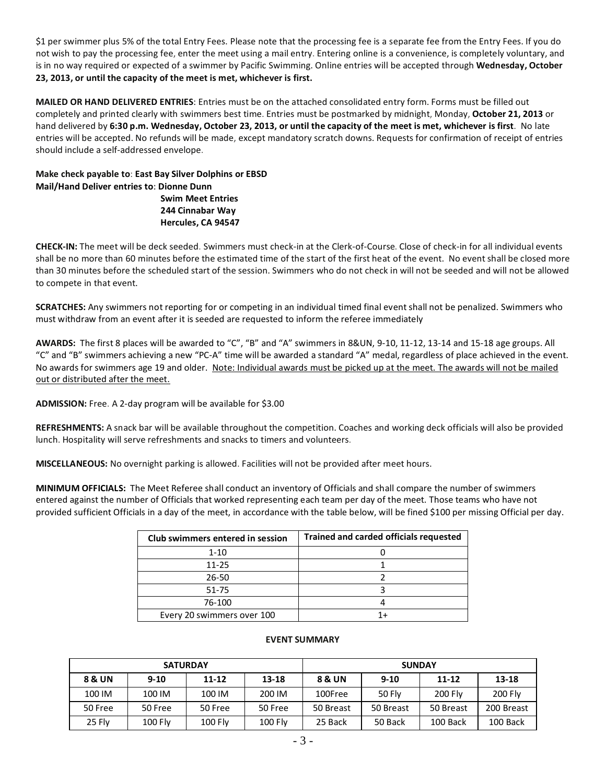\$1 per swimmer plus 5% of the total Entry Fees. Please note that the processing fee is a separate fee from the Entry Fees. If you do not wish to pay the processing fee, enter the meet using a mail entry. Entering online is a convenience, is completely voluntary, and is in no way required or expected of a swimmer by Pacific Swimming. Online entries will be accepted through **Wednesday, October 23, 2013, or until the capacity of the meet is met, whichever is first.**

**MAILED OR HAND DELIVERED ENTRIES**: Entries must be on the attached consolidated entry form. Forms must be filled out completely and printed clearly with swimmers best time. Entries must be postmarked by midnight, Monday, **October 21, 2013** or hand delivered by **6:30 p.m. Wednesday, October 23, 2013, or until the capacity of the meet is met, whichever is first**. No late entries will be accepted. No refunds will be made, except mandatory scratch downs. Requests for confirmation of receipt of entries should include a self-addressed envelope.

## **Make check payable to**: **East Bay Silver Dolphins or EBSD Mail/Hand Deliver entries to**: **Dionne Dunn Swim Meet Entries 244 Cinnabar Way Hercules, CA 94547**

**CHECK-IN:** The meet will be deck seeded. Swimmers must check-in at the Clerk-of-Course. Close of check-in for all individual events shall be no more than 60 minutes before the estimated time of the start of the first heat of the event. No event shall be closed more than 30 minutes before the scheduled start of the session. Swimmers who do not check in will not be seeded and will not be allowed to compete in that event.

**SCRATCHES:** Any swimmers not reporting for or competing in an individual timed final event shall not be penalized. Swimmers who must withdraw from an event after it is seeded are requested to inform the referee immediately

**AWARDS:** The first 8 places will be awarded to "C", "B" and "A" swimmers in 8&UN, 9-10, 11-12, 13-14 and 15-18 age groups. All "C" and "B" swimmers achieving a new "PC-A" time will be awarded a standard "A" medal, regardless of place achieved in the event. No awards for swimmers age 19 and older. Note: Individual awards must be picked up at the meet. The awards will not be mailed out or distributed after the meet.

**ADMISSION:** Free. A 2-day program will be available for \$3.00

**REFRESHMENTS:** A snack bar will be available throughout the competition. Coaches and working deck officials will also be provided lunch. Hospitality will serve refreshments and snacks to timers and volunteers.

**MISCELLANEOUS:** No overnight parking is allowed. Facilities will not be provided after meet hours.

**MINIMUM OFFICIALS:** The Meet Referee shall conduct an inventory of Officials and shall compare the number of swimmers entered against the number of Officials that worked representing each team per day of the meet. Those teams who have not provided sufficient Officials in a day of the meet, in accordance with the table below, will be fined \$100 per missing Official per day.

| Club swimmers entered in session | <b>Trained and carded officials requested</b> |
|----------------------------------|-----------------------------------------------|
| $1 - 10$                         |                                               |
| $11 - 25$                        |                                               |
| 26-50                            |                                               |
| 51-75                            |                                               |
| 76-100                           |                                               |
| Every 20 swimmers over 100       |                                               |

### **EVENT SUMMARY**

| <b>SATURDAY</b>   |          |           |           | <b>SUNDAY</b>     |           |                |                |  |  |
|-------------------|----------|-----------|-----------|-------------------|-----------|----------------|----------------|--|--|
| <b>8 &amp; UN</b> | $9 - 10$ | $11 - 12$ | $13 - 18$ | <b>8 &amp; UN</b> | $9 - 10$  | $11 - 12$      | $13 - 18$      |  |  |
| 100 IM            | 100 IM   | 100 IM    | 200 IM    | 100Free           | 50 Flv    | <b>200 Flv</b> | <b>200 Flv</b> |  |  |
| 50 Free           | 50 Free  | 50 Free   | 50 Free   | 50 Breast         | 50 Breast | 50 Breast      | 200 Breast     |  |  |
| 25 Fly            | 100 Fly  | 100 Fly   | 100 Fly   | 25 Back           | 50 Back   | 100 Back       | 100 Back       |  |  |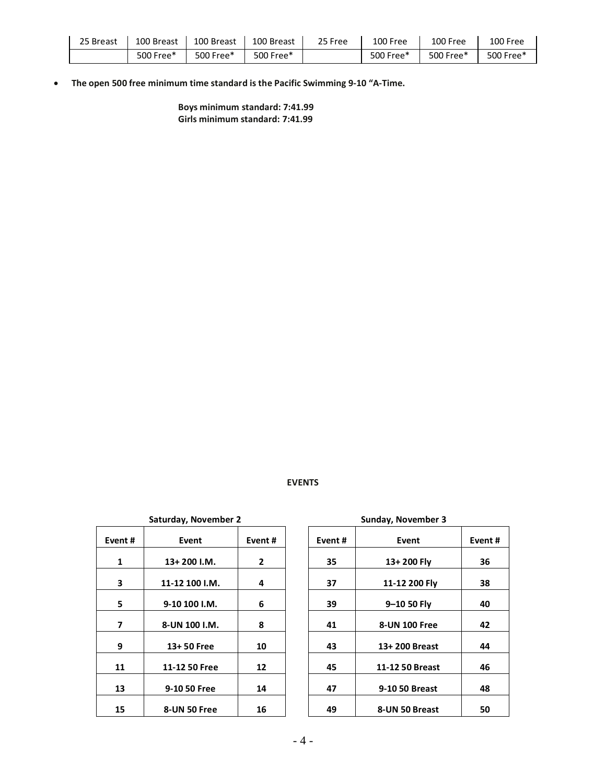| 25 Breast | 100 Breast | 100 Breast | 100 Breast | 25 Free | 100 Free  | 100 Free  | 100 Free  |
|-----------|------------|------------|------------|---------|-----------|-----------|-----------|
|           | 500 Free*  | 500 Free*  | 500 Free*  |         | 500 Free* | 500 Free* | 500 Free* |

• **The open 500 free minimum time standard is the Pacific Swimming 9-10 "A-Time.** 

**Boys minimum standard: 7:41.99 Girls minimum standard: 7:41.99**

# **EVENTS**

|        | Saturday, November 2 |                |        | Sunday, November 3    |
|--------|----------------------|----------------|--------|-----------------------|
| Event# | Event                | Event#         | Event# | Event                 |
| 1      | $13+200$ I.M.        | $\overline{2}$ | 35     | 13+200 Fly            |
| 3      | 11-12 100 I.M.       | 4              | 37     | 11-12 200 Fly         |
| 5      | 9-10 100 I.M.        | 6              | 39     | $9 - 10$ 50 Fly       |
| 7      | 8-UN 100 I.M.        | 8              | 41     | <b>8-UN 100 Free</b>  |
| 9      | 13+50 Free           | 10             | 43     | 13+200 Breast         |
| 11     | 11-12 50 Free        | 12             | 45     | 11-12 50 Breast       |
| 13     | 9-10 50 Free         | 14             | 47     | <b>9-10 50 Breast</b> |
| 15     | 8-UN 50 Free         | 16             | 49     | 8-UN 50 Breast        |

|        | Saturday, November 2 |                |        | Sunday, November 3 |        |
|--------|----------------------|----------------|--------|--------------------|--------|
| Event# | Event                | Event#         | Event# | Event              | Event# |
| 1      | $13+200$ I.M.        | $\overline{2}$ | 35     | 13+200 Fly         | 36     |
| 3      | 11-12 100 I.M.       | 4              | 37     | 11-12 200 Fly      | 38     |
| 5      | 9-10 100 I.M.        | 6              | 39     | 9-10 50 Fly        | 40     |
| 7      | 8-UN 100 I.M.        | 8              | 41     | 8-UN 100 Free      | 42     |
| 9      | 13+50 Free           | 10             | 43     | 13+200 Breast      | 44     |
| 11     | 11-12 50 Free        | 12             | 45     | 11-12 50 Breast    | 46     |
| 13     | 9-10 50 Free         | 14             | 47     | 9-10 50 Breast     | 48     |
| 15     | 8-UN 50 Free         | 16             | 49     | 8-UN 50 Breast     | 50     |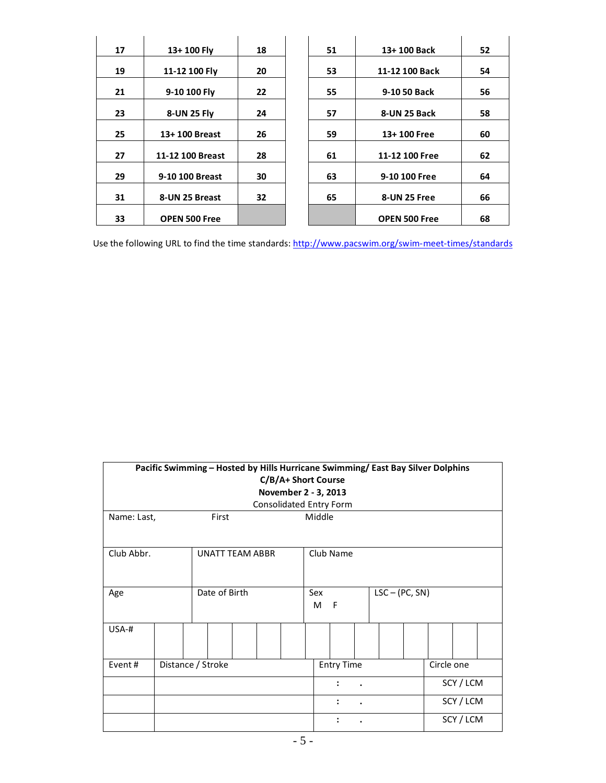| 17 | 13+100 Fly           | 18 | 51 | 13+100 Back          | 52 |
|----|----------------------|----|----|----------------------|----|
| 19 | 11-12 100 Fly        | 20 | 53 | 11-12 100 Back       | 54 |
| 21 | 9-10 100 Fly         | 22 | 55 | 9-10 50 Back         | 56 |
| 23 | 8-UN 25 Fly          | 24 | 57 | 8-UN 25 Back         | 58 |
| 25 | 13+100 Breast        | 26 | 59 | 13+100 Free          | 60 |
| 27 | 11-12 100 Breast     | 28 | 61 | 11-12 100 Free       | 62 |
| 29 | 9-10 100 Breast      | 30 | 63 | 9-10 100 Free        | 64 |
| 31 | 8-UN 25 Breast       | 32 | 65 | 8-UN 25 Free         | 66 |
| 33 | <b>OPEN 500 Free</b> |    |    | <b>OPEN 500 Free</b> | 68 |

Use the following URL to find the time standards:<http://www.pacswim.org/swim-meet-times/standards>

| Pacific Swimming - Hosted by Hills Hurricane Swimming/ East Bay Silver Dolphins<br>C/B/A+ Short Course |  |                        |  |          |                   |  |                  |  |            |           |  |
|--------------------------------------------------------------------------------------------------------|--|------------------------|--|----------|-------------------|--|------------------|--|------------|-----------|--|
| November 2 - 3, 2013                                                                                   |  |                        |  |          |                   |  |                  |  |            |           |  |
| Consolidated Entry Form                                                                                |  |                        |  |          |                   |  |                  |  |            |           |  |
| Middle<br>Name: Last,<br>First                                                                         |  |                        |  |          |                   |  |                  |  |            |           |  |
| Club Abbr.                                                                                             |  | <b>UNATT TEAM ABBR</b> |  |          | Club Name         |  |                  |  |            |           |  |
| Age                                                                                                    |  | Date of Birth          |  | Sex<br>M | F                 |  | $LSC - (PC, SN)$ |  |            |           |  |
| $USA-#$                                                                                                |  |                        |  |          |                   |  |                  |  |            |           |  |
| Event#                                                                                                 |  | Distance / Stroke      |  |          | <b>Entry Time</b> |  |                  |  | Circle one |           |  |
|                                                                                                        |  |                        |  |          | $\ddot{\cdot}$    |  |                  |  |            | SCY/LCM   |  |
|                                                                                                        |  |                        |  |          | $\ddot{\cdot}$    |  |                  |  |            | SCY / LCM |  |
|                                                                                                        |  |                        |  |          |                   |  |                  |  |            | SCY / LCM |  |